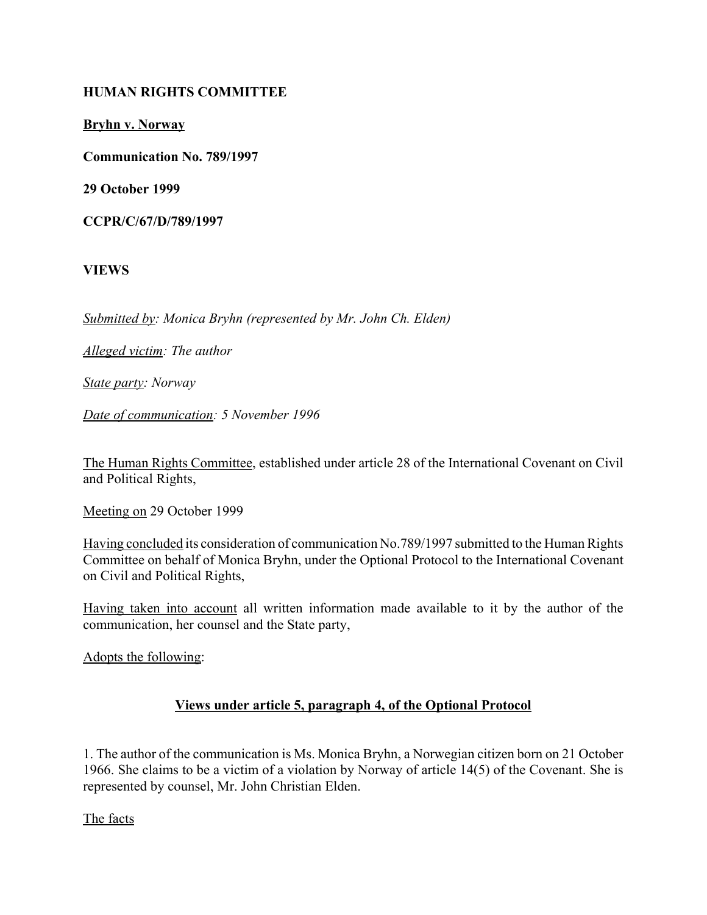#### **HUMAN RIGHTS COMMITTEE**

**Bryhn v. Norway**

**Communication No. 789/1997**

**29 October 1999**

**CCPR/C/67/D/789/1997**

**VIEWS**

*Submitted by: Monica Bryhn (represented by Mr. John Ch. Elden)* 

*Alleged victim: The author* 

*State party: Norway* 

*Date of communication: 5 November 1996* 

The Human Rights Committee, established under article 28 of the International Covenant on Civil and Political Rights,

Meeting on 29 October 1999

Having concluded its consideration of communication No.789/1997 submitted to the Human Rights Committee on behalf of Monica Bryhn, under the Optional Protocol to the International Covenant on Civil and Political Rights,

Having taken into account all written information made available to it by the author of the communication, her counsel and the State party,

Adopts the following:

### **Views under article 5, paragraph 4, of the Optional Protocol**

1. The author of the communication is Ms. Monica Bryhn, a Norwegian citizen born on 21 October 1966. She claims to be a victim of a violation by Norway of article 14(5) of the Covenant. She is represented by counsel, Mr. John Christian Elden.

The facts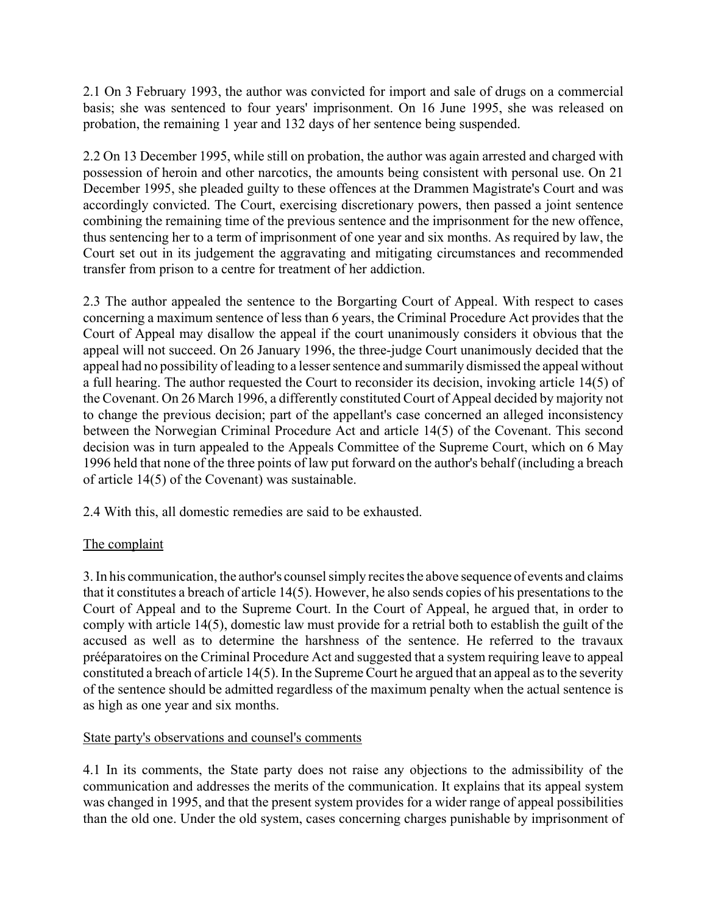2.1 On 3 February 1993, the author was convicted for import and sale of drugs on a commercial basis; she was sentenced to four years' imprisonment. On 16 June 1995, she was released on probation, the remaining 1 year and 132 days of her sentence being suspended.

2.2 On 13 December 1995, while still on probation, the author was again arrested and charged with possession of heroin and other narcotics, the amounts being consistent with personal use. On 21 December 1995, she pleaded guilty to these offences at the Drammen Magistrate's Court and was accordingly convicted. The Court, exercising discretionary powers, then passed a joint sentence combining the remaining time of the previous sentence and the imprisonment for the new offence, thus sentencing her to a term of imprisonment of one year and six months. As required by law, the Court set out in its judgement the aggravating and mitigating circumstances and recommended transfer from prison to a centre for treatment of her addiction.

2.3 The author appealed the sentence to the Borgarting Court of Appeal. With respect to cases concerning a maximum sentence of less than 6 years, the Criminal Procedure Act provides that the Court of Appeal may disallow the appeal if the court unanimously considers it obvious that the appeal will not succeed. On 26 January 1996, the three-judge Court unanimously decided that the appeal had no possibility of leading to a lesser sentence and summarily dismissed the appeal without a full hearing. The author requested the Court to reconsider its decision, invoking article 14(5) of the Covenant. On 26 March 1996, a differently constituted Court of Appeal decided by majority not to change the previous decision; part of the appellant's case concerned an alleged inconsistency between the Norwegian Criminal Procedure Act and article 14(5) of the Covenant. This second decision was in turn appealed to the Appeals Committee of the Supreme Court, which on 6 May 1996 held that none of the three points of law put forward on the author's behalf (including a breach of article 14(5) of the Covenant) was sustainable.

2.4 With this, all domestic remedies are said to be exhausted.

# The complaint

3. In his communication, the author's counsel simply recites the above sequence of events and claims that it constitutes a breach of article 14(5). However, he also sends copies of his presentations to the Court of Appeal and to the Supreme Court. In the Court of Appeal, he argued that, in order to comply with article 14(5), domestic law must provide for a retrial both to establish the guilt of the accused as well as to determine the harshness of the sentence. He referred to the travaux prééparatoires on the Criminal Procedure Act and suggested that a system requiring leave to appeal constituted a breach of article 14(5). In the Supreme Court he argued that an appeal as to the severity of the sentence should be admitted regardless of the maximum penalty when the actual sentence is as high as one year and six months.

### State party's observations and counsel's comments

4.1 In its comments, the State party does not raise any objections to the admissibility of the communication and addresses the merits of the communication. It explains that its appeal system was changed in 1995, and that the present system provides for a wider range of appeal possibilities than the old one. Under the old system, cases concerning charges punishable by imprisonment of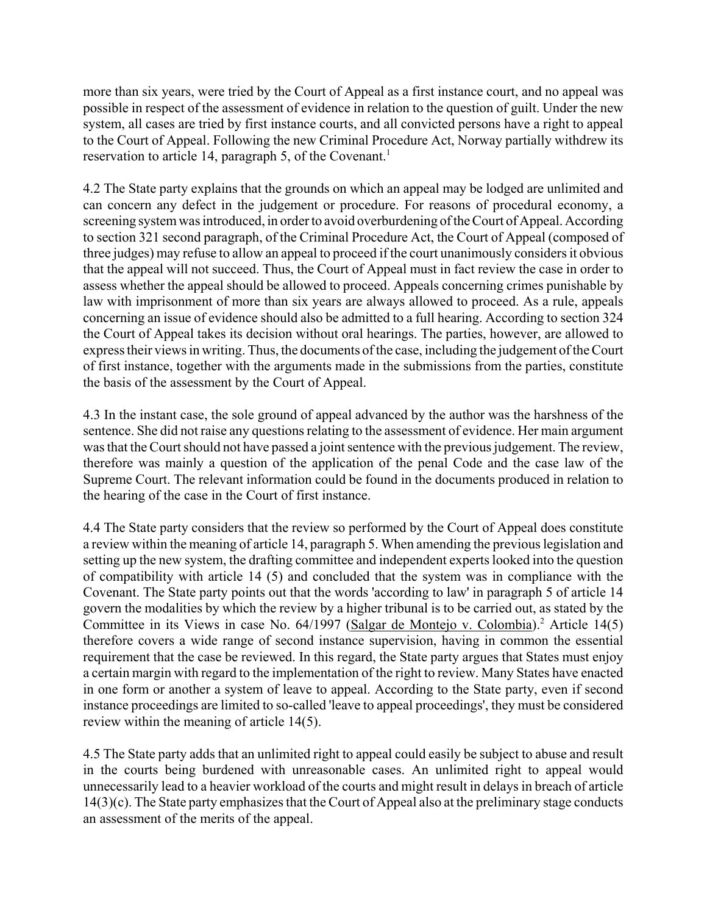more than six years, were tried by the Court of Appeal as a first instance court, and no appeal was possible in respect of the assessment of evidence in relation to the question of guilt. Under the new system, all cases are tried by first instance courts, and all convicted persons have a right to appeal to the Court of Appeal. Following the new Criminal Procedure Act, Norway partially withdrew its reservation to article 14, paragraph 5, of the Covenant.<sup>1</sup>

4.2 The State party explains that the grounds on which an appeal may be lodged are unlimited and can concern any defect in the judgement or procedure. For reasons of procedural economy, a screening system was introduced, in order to avoid overburdening of the Court of Appeal. According to section 321 second paragraph, of the Criminal Procedure Act, the Court of Appeal (composed of three judges) may refuse to allow an appeal to proceed if the court unanimously considers it obvious that the appeal will not succeed. Thus, the Court of Appeal must in fact review the case in order to assess whether the appeal should be allowed to proceed. Appeals concerning crimes punishable by law with imprisonment of more than six years are always allowed to proceed. As a rule, appeals concerning an issue of evidence should also be admitted to a full hearing. According to section 324 the Court of Appeal takes its decision without oral hearings. The parties, however, are allowed to express their views in writing. Thus, the documents of the case, including the judgement of the Court of first instance, together with the arguments made in the submissions from the parties, constitute the basis of the assessment by the Court of Appeal.

4.3 In the instant case, the sole ground of appeal advanced by the author was the harshness of the sentence. She did not raise any questions relating to the assessment of evidence. Her main argument was that the Court should not have passed a joint sentence with the previous judgement. The review, therefore was mainly a question of the application of the penal Code and the case law of the Supreme Court. The relevant information could be found in the documents produced in relation to the hearing of the case in the Court of first instance.

4.4 The State party considers that the review so performed by the Court of Appeal does constitute a review within the meaning of article 14, paragraph 5. When amending the previous legislation and setting up the new system, the drafting committee and independent experts looked into the question of compatibility with article 14 (5) and concluded that the system was in compliance with the Covenant. The State party points out that the words 'according to law' in paragraph 5 of article 14 govern the modalities by which the review by a higher tribunal is to be carried out, as stated by the Committee in its Views in case No. 64/1997 (Salgar de Montejo v. Colombia).<sup>2</sup> Article 14(5) therefore covers a wide range of second instance supervision, having in common the essential requirement that the case be reviewed. In this regard, the State party argues that States must enjoy a certain margin with regard to the implementation of the right to review. Many States have enacted in one form or another a system of leave to appeal. According to the State party, even if second instance proceedings are limited to so-called 'leave to appeal proceedings', they must be considered review within the meaning of article 14(5).

4.5 The State party adds that an unlimited right to appeal could easily be subject to abuse and result in the courts being burdened with unreasonable cases. An unlimited right to appeal would unnecessarily lead to a heavier workload of the courts and might result in delays in breach of article 14(3)(c). The State party emphasizes that the Court of Appeal also at the preliminary stage conducts an assessment of the merits of the appeal.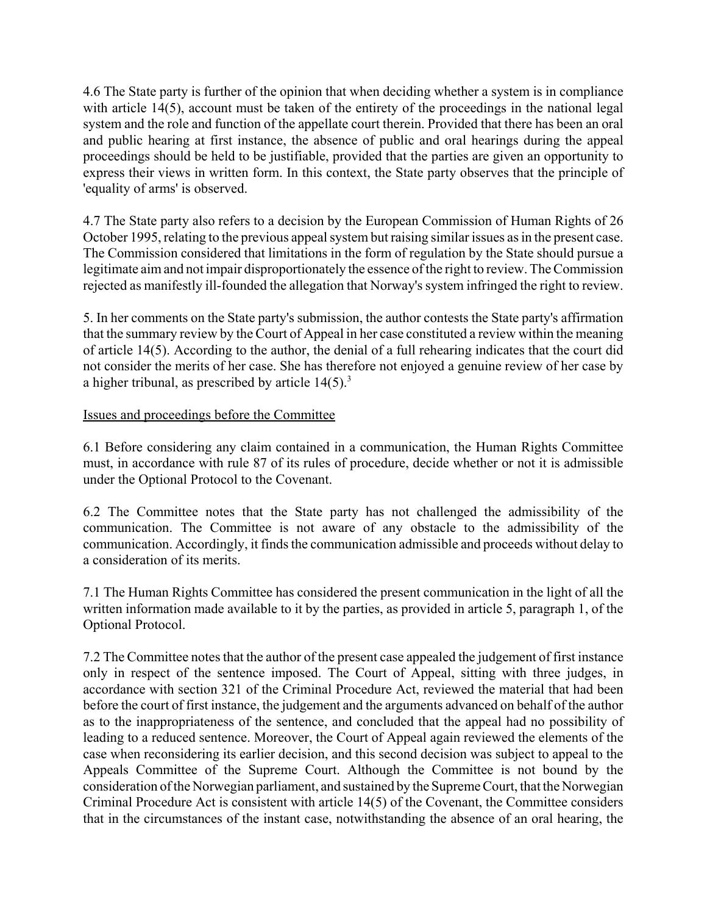4.6 The State party is further of the opinion that when deciding whether a system is in compliance with article 14(5), account must be taken of the entirety of the proceedings in the national legal system and the role and function of the appellate court therein. Provided that there has been an oral and public hearing at first instance, the absence of public and oral hearings during the appeal proceedings should be held to be justifiable, provided that the parties are given an opportunity to express their views in written form. In this context, the State party observes that the principle of 'equality of arms' is observed.

4.7 The State party also refers to a decision by the European Commission of Human Rights of 26 October 1995, relating to the previous appeal system but raising similar issues as in the present case. The Commission considered that limitations in the form of regulation by the State should pursue a legitimate aim and not impair disproportionately the essence of the right to review. The Commission rejected as manifestly ill-founded the allegation that Norway's system infringed the right to review.

5. In her comments on the State party's submission, the author contests the State party's affirmation that the summary review by the Court of Appeal in her case constituted a review within the meaning of article 14(5). According to the author, the denial of a full rehearing indicates that the court did not consider the merits of her case. She has therefore not enjoyed a genuine review of her case by a higher tribunal, as prescribed by article  $14(5)$ .<sup>3</sup>

### Issues and proceedings before the Committee

6.1 Before considering any claim contained in a communication, the Human Rights Committee must, in accordance with rule 87 of its rules of procedure, decide whether or not it is admissible under the Optional Protocol to the Covenant.

6.2 The Committee notes that the State party has not challenged the admissibility of the communication. The Committee is not aware of any obstacle to the admissibility of the communication. Accordingly, it finds the communication admissible and proceeds without delay to a consideration of its merits.

7.1 The Human Rights Committee has considered the present communication in the light of all the written information made available to it by the parties, as provided in article 5, paragraph 1, of the Optional Protocol.

7.2 The Committee notes that the author of the present case appealed the judgement of first instance only in respect of the sentence imposed. The Court of Appeal, sitting with three judges, in accordance with section 321 of the Criminal Procedure Act, reviewed the material that had been before the court of first instance, the judgement and the arguments advanced on behalf of the author as to the inappropriateness of the sentence, and concluded that the appeal had no possibility of leading to a reduced sentence. Moreover, the Court of Appeal again reviewed the elements of the case when reconsidering its earlier decision, and this second decision was subject to appeal to the Appeals Committee of the Supreme Court. Although the Committee is not bound by the consideration of the Norwegian parliament, and sustained by the Supreme Court, that the Norwegian Criminal Procedure Act is consistent with article 14(5) of the Covenant, the Committee considers that in the circumstances of the instant case, notwithstanding the absence of an oral hearing, the